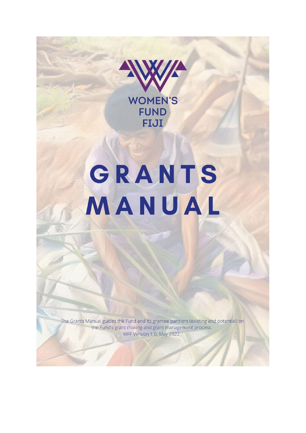

# GRANTS MANUAL

The Grants Manual guides the Fund and its grantee partners (existing and potential) on the Fund's grant making and grant management process. WFF Version 1.0; May 2022.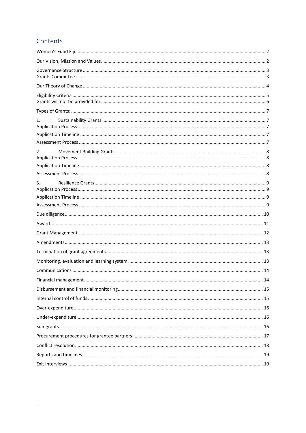# Contents

| 1. |
|----|
|    |
|    |
| 2. |
|    |
| 3. |
|    |
|    |
|    |
|    |
|    |
|    |
|    |
|    |
|    |
|    |
|    |
|    |
|    |
|    |
|    |
|    |
|    |
|    |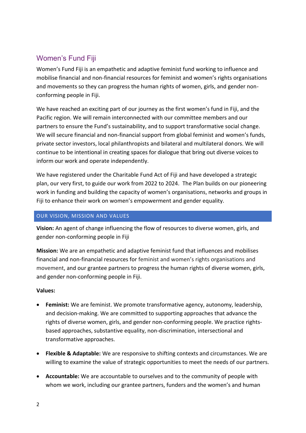# <span id="page-2-0"></span>Women's Fund Fiji

Women's Fund Fiji is an empathetic and adaptive feminist fund working to influence and mobilise financial and non-financial resources for feminist and women's rights organisations and movements so they can progress the human rights of women, girls, and gender nonconforming people in Fiji.

We have reached an exciting part of our journey as the first women's fund in Fiji, and the Pacific region. We will remain interconnected with our committee members and our partners to ensure the Fund's sustainability, and to support transformative social change. We will secure financial and non-financial support from global feminist and women's funds, private sector investors, local philanthropists and bilateral and multilateral donors. We will continue to be intentional in creating spaces for dialogue that bring out diverse voices to inform our work and operate independently.

We have registered under the Charitable Fund Act of Fiji and have developed a strategic plan, our very first, to guide our work from 2022 to 2024. The Plan builds on our pioneering work in funding and building the capacity of women's organisations, networks and groups in Fiji to enhance their work on women's empowerment and gender equality.

## <span id="page-2-1"></span>OUR VISION, MISSION AND VALUES

**Vision:** An agent of change influencing the flow of resources to diverse women, girls, and gender non-conforming people in Fiji

**Mission:** We are an empathetic and adaptive feminist fund that influences and mobilises financial and non-financial resources for feminist and women's rights organisations and movement, and our grantee partners to progress the human rights of diverse women, girls, and gender non-conforming people in Fiji.

## **Values:**

- **Feminist:** We are feminist. We promote transformative agency, autonomy, leadership, and decision-making. We are committed to supporting approaches that advance the rights of diverse women, girls, and gender non-conforming people. We practice rightsbased approaches, substantive equality, non-discrimination, intersectional and transformative approaches.
- **Flexible & Adaptable:** We are responsive to shifting contexts and circumstances. We are willing to examine the value of strategic opportunities to meet the needs of our partners.
- **Accountable:** We are accountable to ourselves and to the community of people with whom we work, including our grantee partners, funders and the women's and human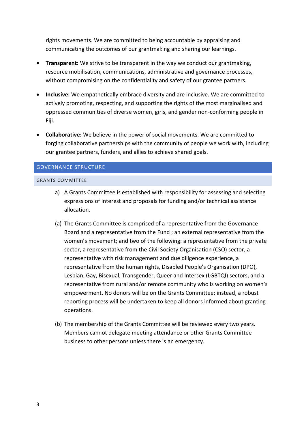rights movements. We are committed to being accountable by appraising and communicating the outcomes of our grantmaking and sharing our learnings.

- **Transparent:** We strive to be transparent in the way we conduct our grantmaking, resource mobilisation, communications, administrative and governance processes, without compromising on the confidentiality and safety of our grantee partners.
- **Inclusive:** We empathetically embrace diversity and are inclusive. We are committed to actively promoting, respecting, and supporting the rights of the most marginalised and oppressed communities of diverse women, girls, and gender non-conforming people in Fiji.
- **Collaborative:** We believe in the power of social movements. We are committed to forging collaborative partnerships with the community of people we work with, including our grantee partners, funders, and allies to achieve shared goals.

## <span id="page-3-0"></span>GOVERNANCE STRUCTURE

#### <span id="page-3-1"></span>GRANTS COMMITTEE

- a) A Grants Committee is established with responsibility for assessing and selecting expressions of interest and proposals for funding and/or technical assistance allocation.
- (a) The Grants Committee is comprised of a representative from the Governance Board and a representative from the Fund ; an external representative from the women's movement; and two of the following: a representative from the private sector, a representative from the Civil Society Organisation (CSO) sector, a representative with risk management and due diligence experience, a representative from the human rights, Disabled People's Organisation (DPO), Lesbian, Gay, Bisexual, Transgender, Queer and Intersex (LGBTQI) sectors, and a representative from rural and/or remote community who is working on women's empowerment. No donors will be on the Grants Committee; instead, a robust reporting process will be undertaken to keep all donors informed about granting operations.
- (b) The membership of the Grants Committee will be reviewed every two years. Members cannot delegate meeting attendance or other Grants Committee business to other persons unless there is an emergency.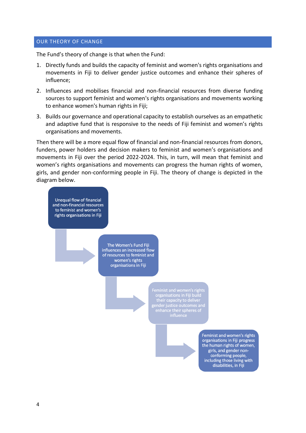#### <span id="page-4-0"></span>OUR THEORY OF CHANGE

The Fund's theory of change is that when the Fund:

- 1. Directly funds and builds the capacity of feminist and women's rights organisations and movements in Fiji to deliver gender justice outcomes and enhance their spheres of influence;
- 2. Influences and mobilises financial and non-financial resources from diverse funding sources to support feminist and women's rights organisations and movements working to enhance women's human rights in Fiji;
- 3. Builds our governance and operational capacity to establish ourselves as an empathetic and adaptive fund that is responsive to the needs of Fiji feminist and women's rights organisations and movements.

Then there will be a more equal flow of financial and non-financial resources from donors, funders, power holders and decision makers to feminist and women's organisations and movements in Fiji over the period 2022-2024. This, in turn, will mean that feminist and women's rights organisations and movements can progress the human rights of women, girls, and gender non-conforming people in Fiji. The theory of change is depicted in the diagram below.

Unequal flow of financial and non-financial resources to feminist and women's rights organisations in Fiji

> The Women's Fund Fiji influences an increased flow of resources to feminist and women's rights organisations in Fiji

> > organisations in Fiji build<br>their capacity to deliver<br>ender justice outcomes and<br>enhance their spheres of

Feminist and women's rights organisations in Fiji progress the human rights of women, girls, and gender nonconforming people, including those living with disabilities, in Fiji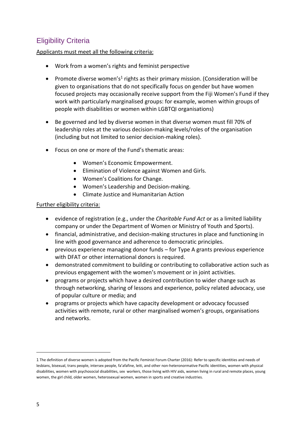# <span id="page-5-0"></span>Eligibility Criteria

# Applicants must meet all the following criteria:

- Work from a women's rights and feminist perspective
- Promote diverse women's<sup>1</sup> rights as their primary mission. (Consideration will be given to organisations that do not specifically focus on gender but have women focused projects may occasionally receive support from the Fiji Women's Fund if they work with particularly marginalised groups: for example, women within groups of people with disabilities or women within LGBTQI organisations)
- Be governed and led by diverse women in that diverse women must fill 70% of leadership roles at the various decision-making levels/roles of the organisation (including but not limited to senior decision-making roles).
- Focus on one or more of the Fund's thematic areas:
	- Women's Economic Empowerment.
	- Elimination of Violence against Women and Girls.
	- Women's Coalitions for Change.
	- Women's Leadership and Decision-making.
	- Climate Justice and Humanitarian Action

## Further eligibility criteria:

- evidence of registration (e.g., under the *Charitable Fund Act* or as a limited liability company or under the Department of Women or Ministry of Youth and Sports).
- financial, administrative, and decision-making structures in place and functioning in line with good governance and adherence to democratic principles.
- previous experience managing donor funds for Type A grants previous experience with DFAT or other international donors is required.
- demonstrated commitment to building or contributing to collaborative action such as previous engagement with the women's movement or in joint activities.
- programs or projects which have a desired contribution to wider change such as through networking, sharing of lessons and experience, policy related advocacy, use of popular culture or media; and
- programs or projects which have capacity development or advocacy focussed activities with remote, rural or other marginalised women's groups, organisations and networks.

<sup>1</sup> The definition of diverse women is adopted from the Pacific Feminist Forum Charter (2016): Refer to specific identities and needs of lesbians, bisexual, trans people, intersex people, fa'afafine, leiti, and other non-heteronormative Pacific identities, women with physical disabilities, women with psychosocial disabilities, sex workers, those living with HIV aids, women living in rural and remote places, young women, the girl child, older women, heterosexual women, women in sports and creative industries.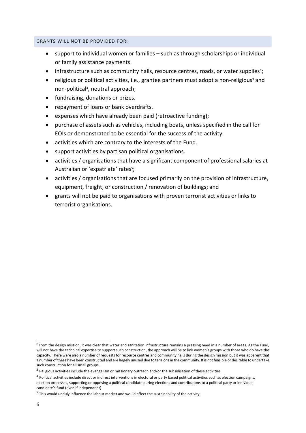#### <span id="page-6-0"></span>GRANTS WILL NOT BE PROVIDED FOR:

- support to individual women or families such as through scholarships or individual or family assistance payments.
- infrastructure such as community halls, resource centres, roads, or water supplies<sup>2</sup>;
- religious or political activities, i.e., grantee partners must adopt a non-religious<sup>3</sup> and non-political<sup>4</sup> , neutral approach;
- fundraising, donations or prizes.
- repayment of loans or bank overdrafts.
- expenses which have already been paid (retroactive funding);
- purchase of assets such as vehicles, including boats, unless specified in the call for EOIs or demonstrated to be essential for the success of the activity.
- activities which are contrary to the interests of the Fund.
- support activities by partisan political organisations.
- activities / organisations that have a significant component of professional salaries at Australian or 'expatriate' rates<sup>5</sup>;
- activities / organisations that are focused primarily on the provision of infrastructure, equipment, freight, or construction / renovation of buildings; and
- grants will not be paid to organisations with proven terrorist activities or links to terrorist organisations.

<sup>&</sup>lt;sup>2</sup> From the design mission, it was clear that water and sanitation infrastructure remains a pressing need in a number of areas. As the Fund, will not have the technical expertise to support such construction, the approach will be to link women's groups with those who do have the capacity. There were also a number of requests for resource centres and community halls during the design mission but it was apparent that a number of these have been constructed and are largely unused due to tensions in the community. It is not feasible or desirable to undertake such construction for all small groups.

 $^3$  Religious activities include the evangelism or missionary outreach and/or the subsidisation of these activities

<sup>&</sup>lt;sup>4</sup> Political activities include direct or indirect interventions in electoral or party based political activities such as election campaigns, election processes, supporting or opposing a political candidate during elections and contributions to a political party or individual candidate's fund (even if independent)

<sup>&</sup>lt;sup>5</sup> This would unduly influence the labour market and would affect the sustainability of the activity.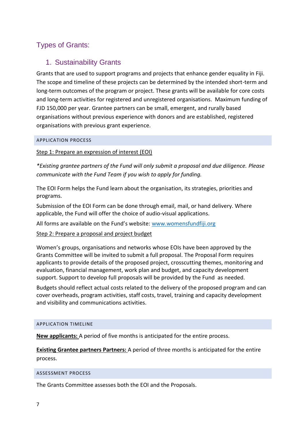# <span id="page-7-1"></span><span id="page-7-0"></span>Types of Grants:

# 1. Sustainability Grants

Grants that are used to support programs and projects that enhance gender equality in Fiji. The scope and timeline of these projects can be determined by the intended short-term and long-term outcomes of the program or project. These grants will be available for core costs and long-term activities for registered and unregistered organisations. Maximum funding of FJD 150,000 per year. Grantee partners can be small, emergent, and rurally based organisations without previous experience with donors and are established, registered organisations with previous grant experience.

#### <span id="page-7-2"></span>APPLICATION PROCESS

Step 1: Prepare an expression of interest (EOI)

*\*Existing grantee partners of the Fund will only submit a proposal and due diligence. Please communicate with the Fund Team if you wish to apply for funding.* 

The EOI Form helps the Fund learn about the organisation, its strategies, priorities and programs.

Submission of the EOI Form can be done through email, mail, or hand delivery. Where applicable, the Fund will offer the choice of audio-visual applications.

All forms are available on the Fund's website: [www.womensfundfiji.org](http://www.womensfundfiji.org/)

#### Step 2: Prepare a proposal and project budget

Women's groups, organisations and networks whose EOIs have been approved by the Grants Committee will be invited to submit a full proposal. The Proposal Form requires applicants to provide details of the proposed project, crosscutting themes, monitoring and evaluation, financial management, work plan and budget, and capacity development support. Support to develop full proposals will be provided by the Fund as needed.

Budgets should reflect actual costs related to the delivery of the proposed program and can cover overheads, program activities, staff costs, travel, training and capacity development and visibility and communications activities.

#### <span id="page-7-3"></span>APPLICATION TIMELINE

**New applicants:** A period of five months is anticipated for the entire process.

**Existing Grantee partners Partners:** A period of three months is anticipated for the entire process.

#### <span id="page-7-4"></span>ASSESSMENT PROCESS

The Grants Committee assesses both the EOI and the Proposals.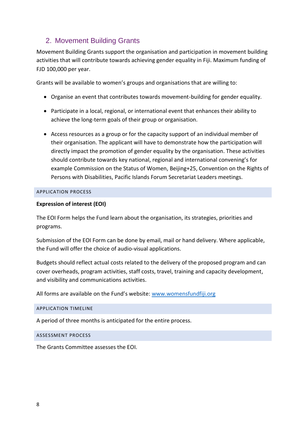# <span id="page-8-0"></span>2. Movement Building Grants

Movement Building Grants support the organisation and participation in movement building activities that will contribute towards achieving gender equality in Fiji. Maximum funding of FJD 100,000 per year.

Grants will be available to women's groups and organisations that are willing to:

- Organise an event that contributes towards movement-building for gender equality.
- Participate in a local, regional, or international event that enhances their ability to achieve the long-term goals of their group or organisation.
- Access resources as a group or for the capacity support of an individual member of their organisation. The applicant will have to demonstrate how the participation will directly impact the promotion of gender equality by the organisation. These activities should contribute towards key national, regional and international convening's for example Commission on the Status of Women, Beijing+25, Convention on the Rights of Persons with Disabilities, Pacific Islands Forum Secretariat Leaders meetings.

#### <span id="page-8-1"></span>APPLICATION PROCESS

#### **Expression of interest (EOI)**

The EOI Form helps the Fund learn about the organisation, its strategies, priorities and programs.

Submission of the EOI Form can be done by email, mail or hand delivery. Where applicable, the Fund will offer the choice of audio-visual applications.

Budgets should reflect actual costs related to the delivery of the proposed program and can cover overheads, program activities, staff costs, travel, training and capacity development, and visibility and communications activities.

All forms are available on the Fund's website: [www.womensfundfiji.org](http://www.womensfundfiji.org/)

#### <span id="page-8-2"></span>APPLICATION TIMELINE

A period of three months is anticipated for the entire process.

<span id="page-8-3"></span>ASSESSMENT PROCESS

The Grants Committee assesses the EOI.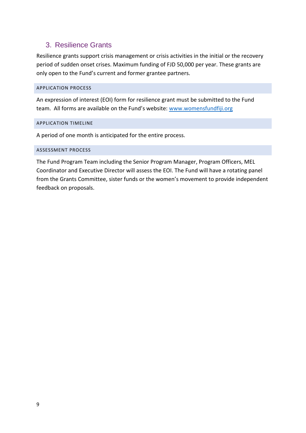# <span id="page-9-0"></span>3. Resilience Grants

Resilience grants support crisis management or crisis activities in the initial or the recovery period of sudden onset crises. Maximum funding of FJD 50,000 per year. These grants are only open to the Fund's current and former grantee partners.

## <span id="page-9-1"></span>APPLICATION PROCESS

An expression of interest (EOI) form for resilience grant must be submitted to the Fund team. All forms are available on the Fund's website: [www.womensfundfiji.org](http://www.womensfundfiji.org/)

#### <span id="page-9-2"></span>APPLICATION TIMELINE

A period of one month is anticipated for the entire process.

#### <span id="page-9-3"></span>ASSESSMENT PROCESS

The Fund Program Team including the Senior Program Manager, Program Officers, MEL Coordinator and Executive Director will assess the EOI. The Fund will have a rotating panel from the Grants Committee, sister funds or the women's movement to provide independent feedback on proposals.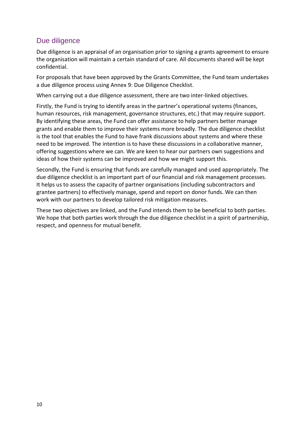# <span id="page-10-0"></span>Due diligence

Due diligence is an appraisal of an organisation prior to signing a grants agreement to ensure the organisation will maintain a certain standard of care. All documents shared will be kept confidential.

For proposals that have been approved by the Grants Committee, the Fund team undertakes a due diligence process using Annex 9: Due Diligence Checklist.

When carrying out a due diligence assessment, there are two inter-linked objectives.

Firstly, the Fund is trying to identify areas in the partner's operational systems (finances, human resources, risk management, governance structures, etc.) that may require support. By identifying these areas, the Fund can offer assistance to help partners better manage grants and enable them to improve their systems more broadly. The due diligence checklist is the tool that enables the Fund to have frank discussions about systems and where these need to be improved. The intention is to have these discussions in a collaborative manner, offering suggestions where we can. We are keen to hear our partners own suggestions and ideas of how their systems can be improved and how we might support this.

Secondly, the Fund is ensuring that funds are carefully managed and used appropriately. The due diligence checklist is an important part of our financial and risk management processes. It helps us to assess the capacity of partner organisations (including subcontractors and grantee partners) to effectively manage, spend and report on donor funds. We can then work with our partners to develop tailored risk mitigation measures.

These two objectives are linked, and the Fund intends them to be beneficial to both parties. We hope that both parties work through the due diligence checklist in a spirit of partnership, respect, and openness for mutual benefit.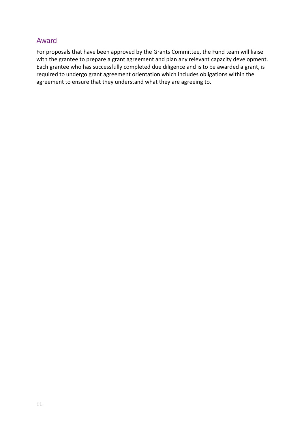# <span id="page-11-0"></span>Award

For proposals that have been approved by the Grants Committee, the Fund team will liaise with the grantee to prepare a grant agreement and plan any relevant capacity development. Each grantee who has successfully completed due diligence and is to be awarded a grant, is required to undergo grant agreement orientation which includes obligations within the agreement to ensure that they understand what they are agreeing to.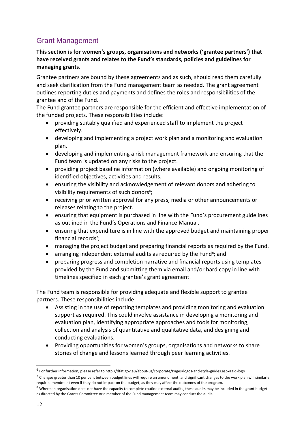# <span id="page-12-0"></span>Grant Management

# **This section is for women's groups, organisations and networks ('grantee partners') that have received grants and relates to the Fund's standards, policies and guidelines for managing grants.**

Grantee partners are bound by these agreements and as such, should read them carefully and seek clarification from the Fund management team as needed. The grant agreement outlines reporting duties and payments and defines the roles and responsibilities of the grantee and of the Fund.

The Fund grantee partners are responsible for the efficient and effective implementation of the funded projects. These responsibilities include:

- providing suitably qualified and experienced staff to implement the project effectively.
- developing and implementing a project work plan and a monitoring and evaluation plan.
- developing and implementing a risk management framework and ensuring that the Fund team is updated on any risks to the project.
- providing project baseline information (where available) and ongoing monitoring of identified objectives, activities and results.
- ensuring the visibility and acknowledgement of relevant donors and adhering to visibility requirements of such donors<sup>6</sup>;
- receiving prior written approval for any press, media or other announcements or releases relating to the project.
- ensuring that equipment is purchased in line with the Fund's procurement guidelines as outlined in the Fund's Operations and Finance Manual.
- ensuring that expenditure is in line with the approved budget and maintaining proper financial records<sup>7</sup>;
- managing the project budget and preparing financial reports as required by the Fund.
- arranging independent external audits as required by the Fund<sup>8</sup>; and
- preparing progress and completion narrative and financial reports using templates provided by the Fund and submitting them via email and/or hard copy in line with timelines specified in each grantee's grant agreement.

The Fund team is responsible for providing adequate and flexible support to grantee partners. These responsibilities include:

- Assisting in the use of reporting templates and providing monitoring and evaluation support as required. This could involve assistance in developing a monitoring and evaluation plan, identifying appropriate approaches and tools for monitoring, collection and analysis of quantitative and qualitative data, and designing and conducting evaluations.
- Providing opportunities for women's groups, organisations and networks to share stories of change and lessons learned through peer learning activities.

<sup>6</sup> For further information, please refer to http://dfat.gov.au/about-us/corporate/Pages/logos-and-style-guides.aspx#aid-logo

 $^7$  Changes greater than 10 per cent between budget lines will require an amendment, and significant changes to the work plan will similarly require amendment even if they do not impact on the budget, as they may affect the outcomes of the program.

 $8$  Where an organisation does not have the capacity to complete routine external audits, these audits may be included in the grant budget as directed by the Grants Committee or a member of the Fund management team may conduct the audit.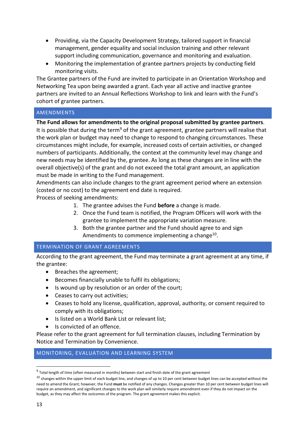- Providing, via the Capacity Development Strategy, tailored support in financial management, gender equality and social inclusion training and other relevant support including communication, governance and monitoring and evaluation.
- Monitoring the implementation of grantee partners projects by conducting field monitoring visits.

The Grantee partners of the Fund are invited to participate in an Orientation Workshop and Networking Tea upon being awarded a grant. Each year all active and inactive grantee partners are invited to an Annual Reflections Workshop to link and learn with the Fund's cohort of grantee partners.

## <span id="page-13-0"></span>AMENDMENTS

**The Fund allows for amendments to the original proposal submitted by grantee partners**. It is possible that during the term<sup>9</sup> of the grant agreement, grantee partners will realise that the work plan or budget may need to change to respond to changing circumstances. These circumstances might include, for example, increased costs of certain activities, or changed numbers of participants. Additionally, the context at the community level may change and new needs may be identified by the, grantee. As long as these changes are in line with the overall objective(s) of the grant and do not exceed the total grant amount, an application must be made in writing to the Fund management.

Amendments can also include changes to the grant agreement period where an extension (costed or no cost) to the agreement end date is required.

Process of seeking amendments:

- 1. The grantee advises the Fund **before** a change is made.
- 2. Once the Fund team is notified, the Program Officers will work with the grantee to implement the appropriate variation measure.
- 3. Both the grantee partner and the Fund should agree to and sign Amendments to commence implementing a change<sup>10</sup>.

#### <span id="page-13-1"></span>TERMINATION OF GRANT AGREEMENTS

According to the grant agreement, the Fund may terminate a grant agreement at any time, if the grantee:

- Breaches the agreement;
- Becomes financially unable to fulfil its obligations;
- Is wound up by resolution or an order of the court;
- Ceases to carry out activities;
- Ceases to hold any license, qualification, approval, authority, or consent required to comply with its obligations;
- Is listed on a World Bank List or relevant list;
- Is convicted of an offence.

Please refer to the grant agreement for full termination clauses, including Termination by Notice and Termination by Convenience.

## <span id="page-13-2"></span>MONITORING, EVALUATION AND LEARNING SYSTEM

<sup>&</sup>lt;sup>9</sup> Total length of time (often measured in months) between start and finish date of the grant agreement

 $10$  changes within the upper limit of each budget line, and changes of up to 10 per cent between budget lines can be accepted without the need to amend the Grant; however, the Fund **must** be notified of any changes. Changes greater than 10 per cent between budget lines will require an amendment, and significant changes to the work plan will similarly require amendment even if they do not impact on the budget, as they may affect the outcomes of the program. The grant agreement makes this explicit.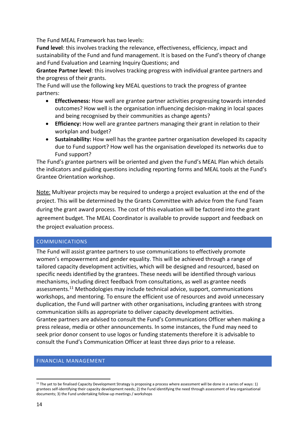The Fund MEAL Framework has two levels:

**Fund level**: this involves tracking the relevance, effectiveness, efficiency, impact and sustainability of the Fund and fund management. It is based on the Fund's theory of change and Fund Evaluation and Learning Inquiry Questions; and

**Grantee Partner level**: this involves tracking progress with individual grantee partners and the progress of their grants.

The Fund will use the following key MEAL questions to track the progress of grantee partners:

- **Effectiveness:** How well are grantee partner activities progressing towards intended outcomes? How well is the organisation influencing decision-making in local spaces and being recognised by their communities as change agents?
- **Efficiency:** How well are grantee partners managing their grant in relation to their workplan and budget?
- **Sustainability:** How well has the grantee partner organisation developed its capacity due to Fund support? How well has the organisation developed its networks due to Fund support?

The Fund's grantee partners will be oriented and given the Fund's MEAL Plan which details the indicators and guiding questions including reporting forms and MEAL tools at the Fund's Grantee Orientation workshop.

Note: Multiyear projects may be required to undergo a project evaluation at the end of the project. This will be determined by the Grants Committee with advice from the Fund Team during the grant award process. The cost of this evaluation will be factored into the grant agreement budget. The MEAL Coordinator is available to provide support and feedback on the project evaluation process.

## <span id="page-14-0"></span>COMMUNICATIONS

The Fund will assist grantee partners to use communications to effectively promote women's empowerment and gender equality. This will be achieved through a range of tailored capacity development activities, which will be designed and resourced, based on specific needs identified by the grantees. These needs will be identified through various mechanisms, including direct feedback from consultations, as well as grantee needs assessments.<sup>11</sup> Methodologies may include technical advice, support, communications workshops, and mentoring. To ensure the efficient use of resources and avoid unnecessary duplication, the Fund will partner with other organisations, including grantees with strong communication skills as appropriate to deliver capacity development activities. Grantee partners are advised to consult the Fund's Communications Officer when making a press release, media or other announcements. In some instances, the Fund may need to seek prior donor consent to use logos or funding statements therefore it is advisable to consult the Fund's Communication Officer at least three days prior to a release.

#### <span id="page-14-1"></span>FINANCIAL MANAGEMENT

<sup>&</sup>lt;sup>11</sup> The yet to be finalised Capacity Development Strategy is proposing a process where assessment will be done in a series of ways: 1) grantees self-identifying their capacity development needs; 2) the Fund identifying the need through assessment of key organisational documents; 3) the Fund undertaking follow-up meetings / workshops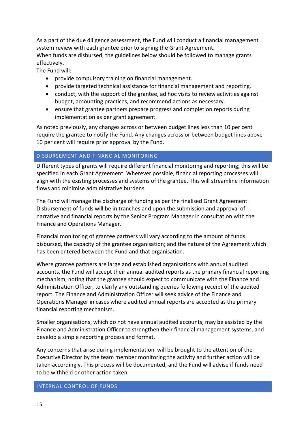As a part of the due diligence assessment, the Fund will conduct a financial management system review with each grantee prior to signing the Grant Agreement.

When funds are disbursed, the guidelines below should be followed to manage grants effectively.

The Fund will:

- provide compulsory training on financial management.
- provide targeted technical assistance for financial management and reporting.
- conduct, with the support of the grantee, ad hoc visits to review activities against budget, accounting practices, and recommend actions as necessary.
- ensure that grantee partners prepare progress and completion reports during implementation as per grant agreement.

As noted previously, any changes across or between budget lines less than 10 per cent require the grantee to notify the Fund. Any changes across or between budget lines above 10 per cent will require prior approval by the Fund.

## <span id="page-15-0"></span>DISBURSEMENT AND FINANCIAL MONITORING

Different types of grants will require different financial monitoring and reporting; this will be specified in each Grant Agreement. Wherever possible, financial reporting processes will align with the existing processes and systems of the grantee. This will streamline information flows and minimise administrative burdens.

The Fund will manage the discharge of funding as per the finalised Grant Agreement. Disbursement of funds will be in tranches and upon the submission and approval of narrative and financial reports by the Senior Program Manager in consultation with the Finance and Operations Manager.

Financial monitoring of grantee partners will vary according to the amount of funds disbursed, the capacity of the grantee organisation; and the nature of the Agreement which has been entered between the Fund and that organisation.

Where grantee partners are large and established organisations with annual audited accounts, the Fund will accept their annual audited reports as the primary financial reporting mechanism, noting that the grantee should expect to communicate with the Finance and Administration Officer, to clarify any outstanding queries following receipt of the audited report. The Finance and Administration Officer will seek advice of the Finance and Operations Manager in cases where audited annual reports are accepted as the primary financial reporting mechanism.

Smaller organisations, which do not have annual audited accounts, may be assisted by the Finance and Administration Officer to strengthen their financial management systems, and develop a simple reporting process and format.

Any concerns that arise during implementation will be brought to the attention of the Executive Director by the team member monitoring the activity and further action will be taken accordingly. This process will be documented, and the Fund will advise if funds need to be withheld or other action taken.

## <span id="page-15-1"></span>INTERNAL CONTROL OF FUNDS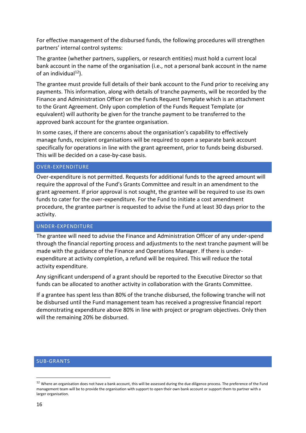For effective management of the disbursed funds, the following procedures will strengthen partners' internal control systems:

The grantee (whether partners, suppliers, or research entities) must hold a current local bank account in the name of the organisation (i.e., not a personal bank account in the name of an individual $^{12}$ ).

The grantee must provide full details of their bank account to the Fund prior to receiving any payments. This information, along with details of tranche payments, will be recorded by the Finance and Administration Officer on the Funds Request Template which is an attachment to the Grant Agreement. Only upon completion of the Funds Request Template (or equivalent) will authority be given for the tranche payment to be transferred to the approved bank account for the grantee organisation.

In some cases, if there are concerns about the organisation's capability to effectively manage funds, recipient organisations will be required to open a separate bank account specifically for operations in line with the grant agreement, prior to funds being disbursed. This will be decided on a case-by-case basis.

## <span id="page-16-0"></span>OVER-EXPENDITURE

Over-expenditure is not permitted. Requests for additional funds to the agreed amount will require the approval of the Fund's Grants Committee and result in an amendment to the grant agreement. If prior approval is not sought, the grantee will be required to use its own funds to cater for the over-expenditure. For the Fund to initiate a cost amendment procedure, the grantee partner is requested to advise the Fund at least 30 days prior to the activity.

#### <span id="page-16-1"></span>UNDER-EXPENDITURE

The grantee will need to advise the Finance and Administration Officer of any under-spend through the financial reporting process and adjustments to the next tranche payment will be made with the guidance of the Finance and Operations Manager. If there is underexpenditure at activity completion, a refund will be required. This will reduce the total activity expenditure.

Any significant underspend of a grant should be reported to the Executive Director so that funds can be allocated to another activity in collaboration with the Grants Committee.

If a grantee has spent less than 80% of the tranche disbursed, the following tranche will not be disbursed until the Fund management team has received a progressive financial report demonstrating expenditure above 80% in line with project or program objectives. Only then will the remaining 20% be disbursed.

#### <span id="page-16-2"></span>SUB-GRANTS

<sup>&</sup>lt;sup>12</sup> Where an organisation does not have a bank account, this will be assessed during the due diligence process. The preference of the Fund management team will be to provide the organisation with support to open their own bank account or support them to partner with a larger organisation.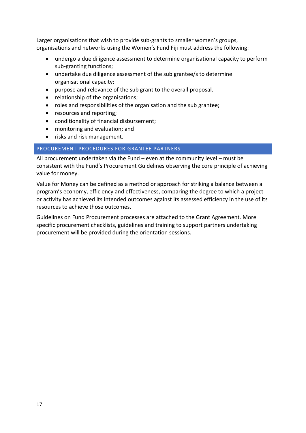Larger organisations that wish to provide sub-grants to smaller women's groups, organisations and networks using the Women's Fund Fiji must address the following:

- undergo a due diligence assessment to determine organisational capacity to perform sub-granting functions;
- undertake due diligence assessment of the sub grantee/s to determine organisational capacity;
- purpose and relevance of the sub grant to the overall proposal.
- relationship of the organisations;
- roles and responsibilities of the organisation and the sub grantee;
- resources and reporting;
- conditionality of financial disbursement;
- monitoring and evaluation; and
- risks and risk management.

## <span id="page-17-0"></span>PROCUREMENT PROCEDURES FOR GRANTEE PARTNERS

All procurement undertaken via the Fund – even at the community level – must be consistent with the Fund's Procurement Guidelines observing the core principle of achieving value for money.

Value for Money can be defined as a method or approach for striking a balance between a program's economy, efficiency and effectiveness, comparing the degree to which a project or activity has achieved its intended outcomes against its assessed efficiency in the use of its resources to achieve those outcomes.

Guidelines on Fund Procurement processes are attached to the Grant Agreement. More specific procurement checklists, guidelines and training to support partners undertaking procurement will be provided during the orientation sessions.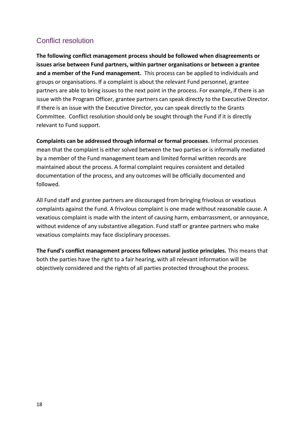# <span id="page-18-0"></span>Conflict resolution

**The following conflict management process should be followed when disagreements or issues arise between Fund partners, within partner organisations or between a grantee and a member of the Fund management.** This process can be applied to individuals and groups or organisations. If a complaint is about the relevant Fund personnel, grantee partners are able to bring issues to the next point in the process. For example, if there is an issue with the Program Officer, grantee partners can speak directly to the Executive Director. If there is an issue with the Executive Director, you can speak directly to the Grants Committee. Conflict resolution should only be sought through the Fund if it is directly relevant to Fund support.

**Complaints can be addressed through informal or formal processes**. Informal processes mean that the complaint is either solved between the two parties or is informally mediated by a member of the Fund management team and limited formal written records are maintained about the process. A formal complaint requires consistent and detailed documentation of the process, and any outcomes will be officially documented and followed.

All Fund staff and grantee partners are discouraged from bringing frivolous or vexatious complaints against the Fund. A frivolous complaint is one made without reasonable cause. A vexatious complaint is made with the intent of causing harm, embarrassment, or annoyance, without evidence of any substantive allegation. Fund staff or grantee partners who make vexatious complaints may face disciplinary processes.

**The Fund's conflict management process follows natural justice principles.** This means that both the parties have the right to a fair hearing, with all relevant information will be objectively considered and the rights of all parties protected throughout the process.